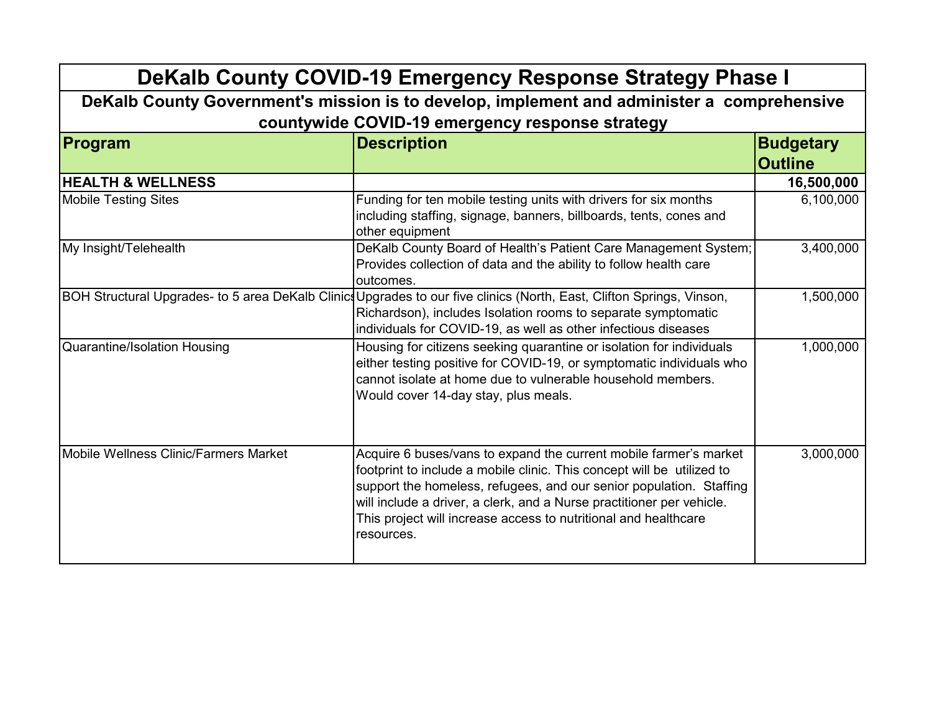| DeKalb County COVID-19 Emergency Response Strategy Phase I                                 |                                                                                                                                                                                                                                                                                                                                                                              |                                    |  |  |
|--------------------------------------------------------------------------------------------|------------------------------------------------------------------------------------------------------------------------------------------------------------------------------------------------------------------------------------------------------------------------------------------------------------------------------------------------------------------------------|------------------------------------|--|--|
| DeKalb County Government's mission is to develop, implement and administer a comprehensive |                                                                                                                                                                                                                                                                                                                                                                              |                                    |  |  |
| countywide COVID-19 emergency response strategy                                            |                                                                                                                                                                                                                                                                                                                                                                              |                                    |  |  |
| Program                                                                                    | <b>Description</b>                                                                                                                                                                                                                                                                                                                                                           | <b>Budgetary</b><br><b>Outline</b> |  |  |
| <b>HEALTH &amp; WELLNESS</b>                                                               |                                                                                                                                                                                                                                                                                                                                                                              | 16,500,000                         |  |  |
| <b>Mobile Testing Sites</b>                                                                | Funding for ten mobile testing units with drivers for six months<br>including staffing, signage, banners, billboards, tents, cones and<br>other equipment                                                                                                                                                                                                                    | 6,100,000                          |  |  |
| My Insight/Telehealth                                                                      | DeKalb County Board of Health's Patient Care Management System;<br>Provides collection of data and the ability to follow health care<br>outcomes.                                                                                                                                                                                                                            | 3,400,000                          |  |  |
|                                                                                            | BOH Structural Upgrades- to 5 area DeKalb ClinicsUpgrades to our five clinics (North, East, Clifton Springs, Vinson,<br>Richardson), includes Isolation rooms to separate symptomatic<br>individuals for COVID-19, as well as other infectious diseases                                                                                                                      | 1,500,000                          |  |  |
| Quarantine/Isolation Housing                                                               | Housing for citizens seeking quarantine or isolation for individuals<br>either testing positive for COVID-19, or symptomatic individuals who<br>cannot isolate at home due to vulnerable household members.<br>Would cover 14-day stay, plus meals.                                                                                                                          | 1,000,000                          |  |  |
| Mobile Wellness Clinic/Farmers Market                                                      | Acquire 6 buses/vans to expand the current mobile farmer's market<br>footprint to include a mobile clinic. This concept will be utilized to<br>support the homeless, refugees, and our senior population. Staffing<br>will include a driver, a clerk, and a Nurse practitioner per vehicle.<br>This project will increase access to nutritional and healthcare<br>resources. | 3,000,000                          |  |  |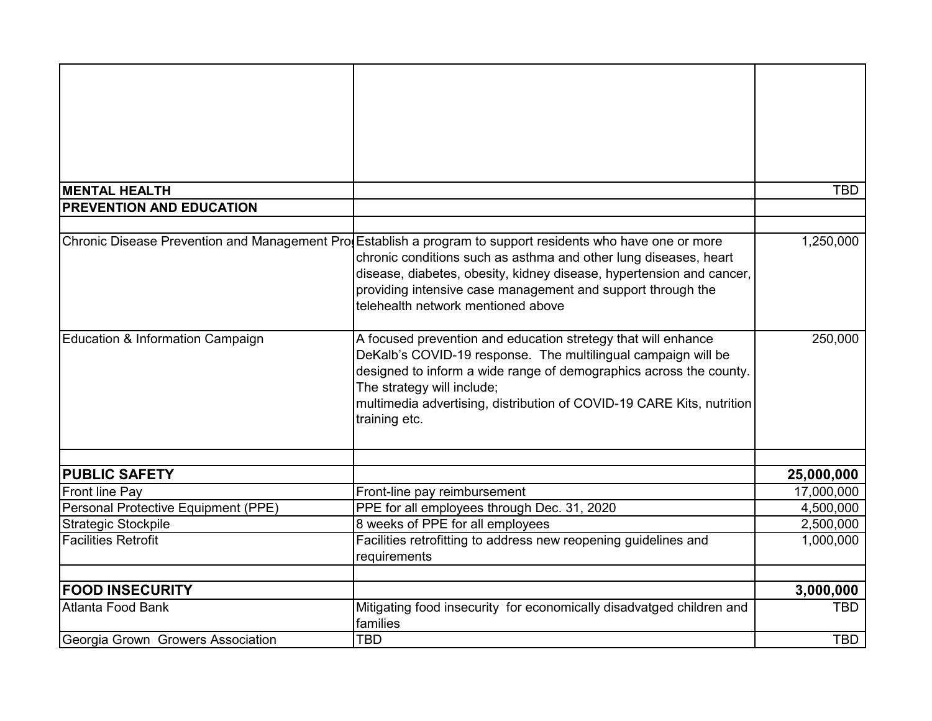| <b>MENTAL HEALTH</b>                     |                                                                                                              | <b>TBD</b> |
|------------------------------------------|--------------------------------------------------------------------------------------------------------------|------------|
| <b>PREVENTION AND EDUCATION</b>          |                                                                                                              |            |
|                                          |                                                                                                              |            |
|                                          | Chronic Disease Prevention and Management Prod Establish a program to support residents who have one or more | 1,250,000  |
|                                          | chronic conditions such as asthma and other lung diseases, heart                                             |            |
|                                          | disease, diabetes, obesity, kidney disease, hypertension and cancer,                                         |            |
|                                          | providing intensive case management and support through the                                                  |            |
|                                          | telehealth network mentioned above                                                                           |            |
|                                          |                                                                                                              |            |
| Education & Information Campaign         | A focused prevention and education stretegy that will enhance                                                | 250,000    |
|                                          | DeKalb's COVID-19 response. The multilingual campaign will be                                                |            |
|                                          | designed to inform a wide range of demographics across the county.                                           |            |
|                                          | The strategy will include;                                                                                   |            |
|                                          | multimedia advertising, distribution of COVID-19 CARE Kits, nutrition                                        |            |
|                                          | training etc.                                                                                                |            |
|                                          |                                                                                                              |            |
| <b>PUBLIC SAFETY</b>                     |                                                                                                              | 25,000,000 |
| Front line Pay                           | Front-line pay reimbursement                                                                                 | 17,000,000 |
| Personal Protective Equipment (PPE)      | PPE for all employees through Dec. 31, 2020                                                                  | 4,500,000  |
| <b>Strategic Stockpile</b>               | 8 weeks of PPE for all employees                                                                             | 2,500,000  |
| <b>Facilities Retrofit</b>               | Facilities retrofitting to address new reopening guidelines and                                              | 1,000,000  |
|                                          | requirements                                                                                                 |            |
|                                          |                                                                                                              |            |
| <b>FOOD INSECURITY</b>                   |                                                                                                              | 3,000,000  |
| Atlanta Food Bank                        | Mitigating food insecurity for economically disadvatged children and                                         | <b>TBD</b> |
|                                          | families                                                                                                     |            |
| <b>Georgia Grown Growers Association</b> | <b>TBD</b>                                                                                                   | <b>TBD</b> |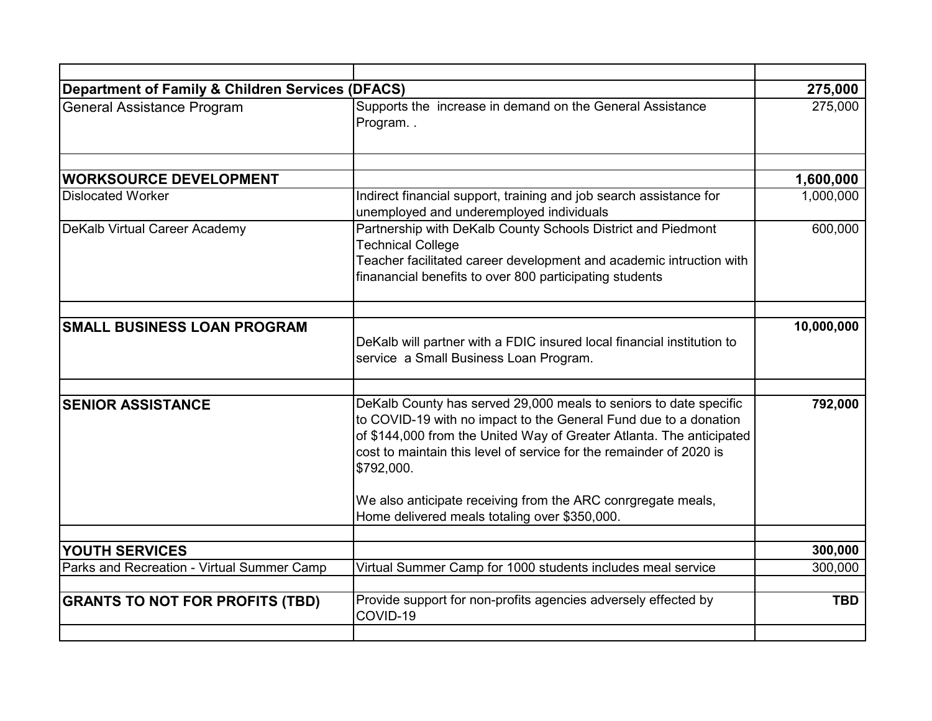| <b>Department of Family &amp; Children Services (DFACS)</b> |                                                                                                                                                                                                                                                                                                    | 275,000    |
|-------------------------------------------------------------|----------------------------------------------------------------------------------------------------------------------------------------------------------------------------------------------------------------------------------------------------------------------------------------------------|------------|
| <b>General Assistance Program</b>                           | Supports the increase in demand on the General Assistance<br>Program                                                                                                                                                                                                                               | 275,000    |
| <b>WORKSOURCE DEVELOPMENT</b>                               |                                                                                                                                                                                                                                                                                                    | 1,600,000  |
| <b>Dislocated Worker</b>                                    | Indirect financial support, training and job search assistance for<br>unemployed and underemployed individuals                                                                                                                                                                                     | 1,000,000  |
| DeKalb Virtual Career Academy                               | Partnership with DeKalb County Schools District and Piedmont<br><b>Technical College</b><br>Teacher facilitated career development and academic intruction with<br>finanancial benefits to over 800 participating students                                                                         | 600,000    |
| <b>SMALL BUSINESS LOAN PROGRAM</b>                          | DeKalb will partner with a FDIC insured local financial institution to<br>service a Small Business Loan Program.                                                                                                                                                                                   | 10,000,000 |
|                                                             |                                                                                                                                                                                                                                                                                                    |            |
| <b>SENIOR ASSISTANCE</b>                                    | DeKalb County has served 29,000 meals to seniors to date specific<br>to COVID-19 with no impact to the General Fund due to a donation<br>of \$144,000 from the United Way of Greater Atlanta. The anticipated<br>cost to maintain this level of service for the remainder of 2020 is<br>\$792,000. | 792,000    |
|                                                             | We also anticipate receiving from the ARC conrgregate meals,<br>Home delivered meals totaling over \$350,000.                                                                                                                                                                                      |            |
| YOUTH SERVICES                                              |                                                                                                                                                                                                                                                                                                    | 300,000    |
| Parks and Recreation - Virtual Summer Camp                  | Virtual Summer Camp for 1000 students includes meal service                                                                                                                                                                                                                                        | 300,000    |
| <b>GRANTS TO NOT FOR PROFITS (TBD)</b>                      | Provide support for non-profits agencies adversely effected by<br>COVID-19                                                                                                                                                                                                                         | <b>TBD</b> |
|                                                             |                                                                                                                                                                                                                                                                                                    |            |